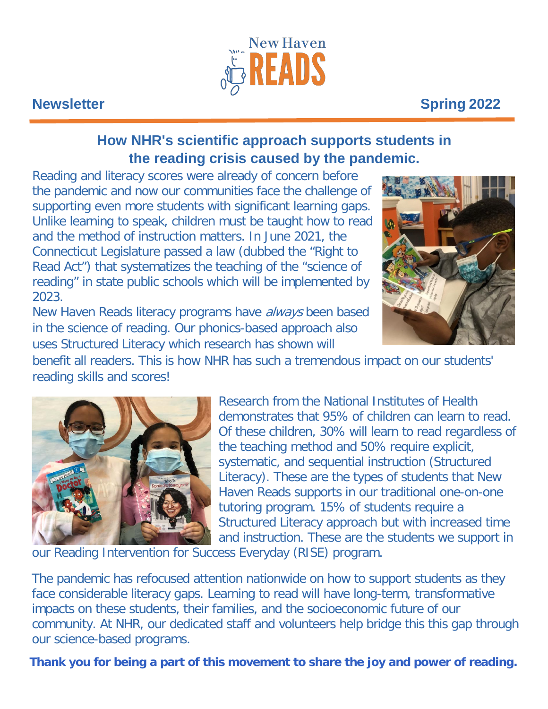

# **Newsletter Spring 2022**

## **How NHR's scientific approach supports students in the reading crisis caused by the pandemic.**

Reading and literacy scores were already of concern before the pandemic and now our communities face the challenge of supporting even more students with significant learning gaps. Unlike learning to speak, children must be taught how to read and the method of instruction matters. In June 2021, the Connecticut Legislature passed a law (dubbed the "Right to Read Act") that systematizes the teaching of the "science of reading" in state public schools which will be implemented by 2023.

New Haven Reads literacy programs have *always* been based in the science of reading. Our phonics-based approach also uses Structured Literacy which research has shown will



benefit all readers. This is how NHR has such a tremendous impact on our students' reading skills and scores!



Research from the National Institutes of Health demonstrates that 95% of children can learn to read. Of these children, 30% will learn to read regardless of the teaching method and 50% require explicit, systematic, and sequential instruction (Structured Literacy). These are the types of students that New Haven Reads supports in our traditional one-on-one tutoring program. 15% of students require a Structured Literacy approach but with increased time and instruction. These are the students we support in

our Reading Intervention for Success Everyday (RISE) program.

The pandemic has refocused attention nationwide on how to support students as they face considerable literacy gaps. Learning to read will have long-term, transformative impacts on these students, their families, and the socioeconomic future of our community. At NHR, our dedicated staff and volunteers help bridge this this gap through our science-based programs.

**Thank you for being a part of this movement to share the joy and power of reading.**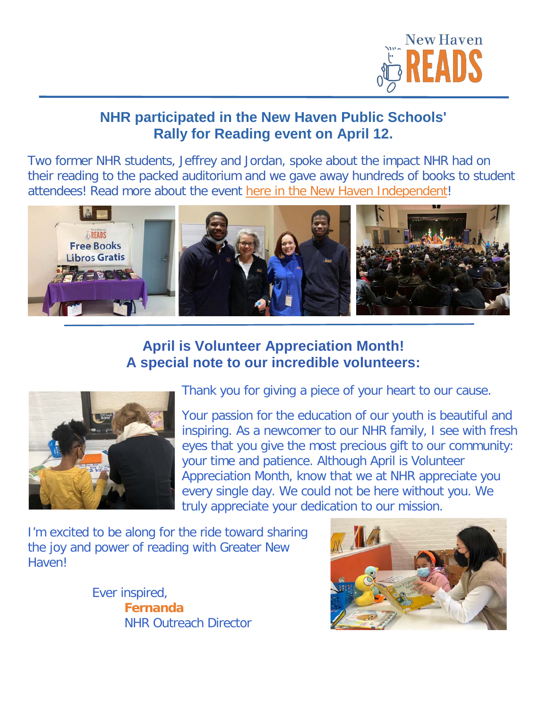

## **NHR participated in the New Haven Public Schools' Rally for Reading event on April 12.**

Two former NHR students, Jeffrey and Jordan, spoke about the impact NHR had on their reading to the packed auditorium and we gave away hundreds of books to student attendees! Read more about the event [here in the New Haven Independent!](https://www.newhavenindependent.org/article/ready_rally)



## **April is Volunteer Appreciation Month! A special note to our incredible volunteers:**



Thank you for giving a piece of your heart to our cause.

Your passion for the education of our youth is beautiful and inspiring. As a newcomer to our NHR family, I see with fresh eyes that you give the most precious gift to our community: your time and patience. Although April is Volunteer Appreciation Month, know that we at NHR appreciate you every single day. We could not be here without you. We truly appreciate your dedication to our mission.

I'm excited to be along for the ride toward sharing the joy and power of reading with Greater New Haven!

> Ever inspired,  **Fernanda**  NHR Outreach Director

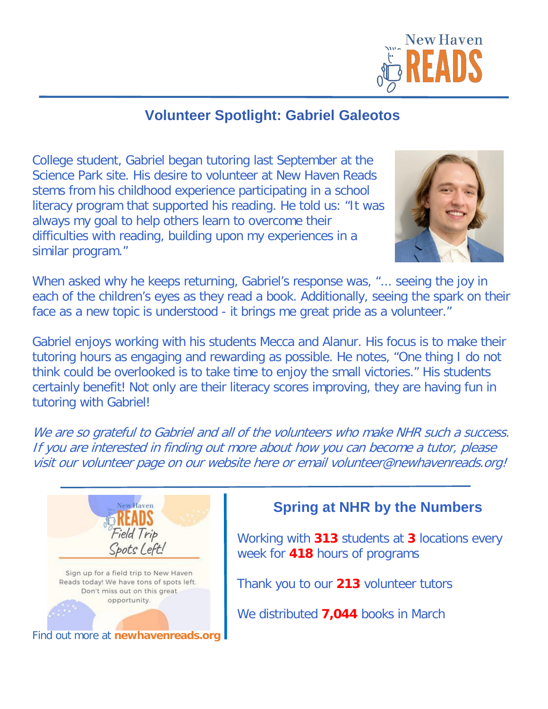

## **Volunteer Spotlight: Gabriel Galeotos**

College student, Gabriel began tutoring last September at the Science Park site. His desire to volunteer at New Haven Reads stems from his childhood experience participating in a school literacy program that supported his reading. He told us: "It was always my goal to help others learn to overcome their difficulties with reading, building upon my experiences in a similar program."



When asked why he keeps returning, Gabriel's response was, "... seeing the joy in each of the children's eyes as they read a book. Additionally, seeing the spark on their face as a new topic is understood - it brings me great pride as a volunteer."

Gabriel enjoys working with his students Mecca and Alanur. His focus is to make their tutoring hours as engaging and rewarding as possible. He notes, "One thing I do not think could be overlooked is to take time to enjoy the small victories." His students certainly benefit! Not only are their literacy scores improving, they are having fun in tutoring with Gabriel!

We are so grateful to Gabriel and all of the volunteers who make NHR such a success. If you are interested in finding out more about how you can become a tutor, please visit our volunteer page on our website here or email volunteer@newhavenreads.org!



## **Spring at NHR by the Numbers**

Working with **313** students at **3** locations every week for **418** hours of programs

Thank you to our **213** volunteer tutors

We distributed **7,044** books in March